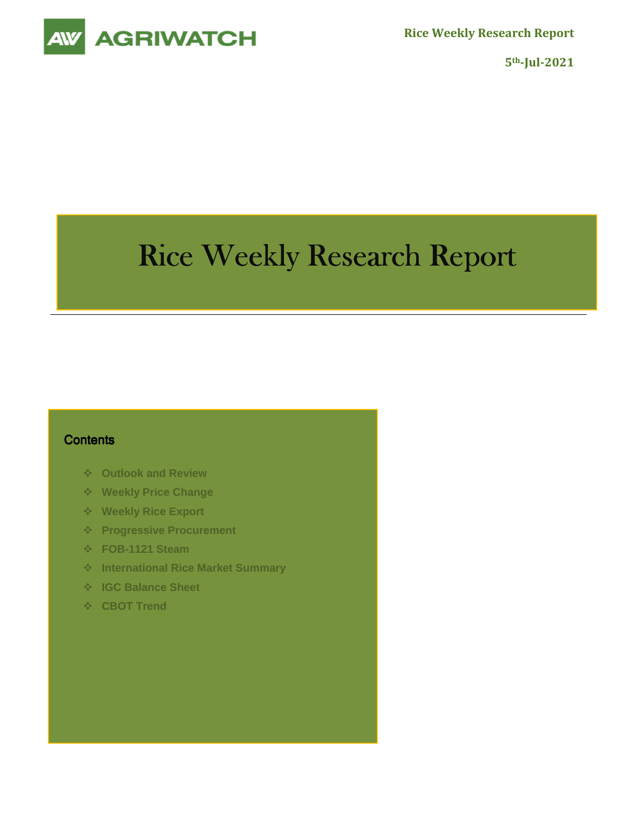**Rice Weekly Research Report** 



**5th-Jul-2021** 

# Rice Weekly Research Report

### **Contents**

- **Outlook and Review**
- **Weekly Price Change**
- **Weekly Rice Export**
- **Progressive Procurement**
- **FOB-1121 Steam**
- **International Rice Market Summary**
- **IGC Balance Sheet**
- **CBOT Trend**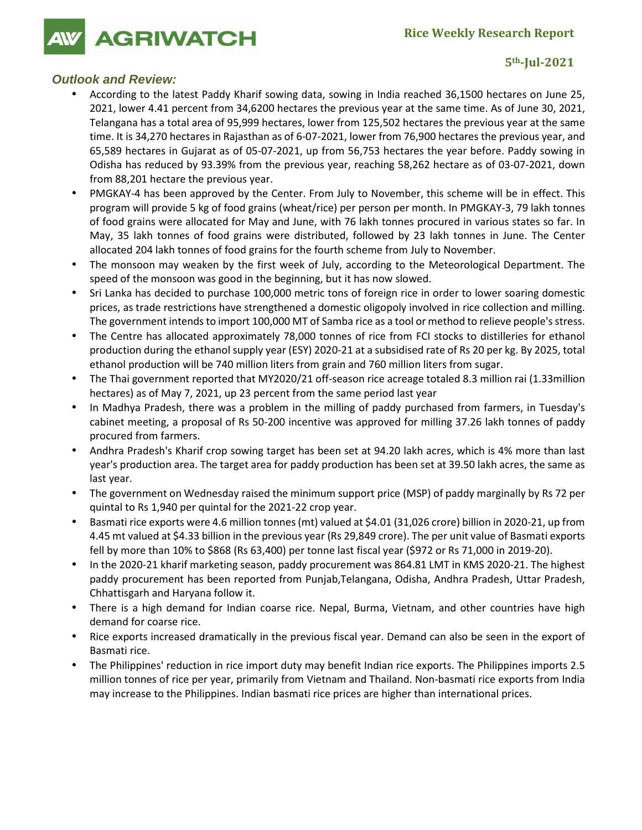**AGRIWATCH** 

## **5th-Jul-2021**

# **Outlook and Review:**

- According to the latest Paddy Kharif sowing data, sowing in India reached 36,1500 hectares on June 25, 2021, lower 4.41 percent from 34,6200 hectares the previous year at the same time. As of June 30, 2021, Telangana has a total area of 95,999 hectares, lower from 125,502 hectares the previous year at the same time. It is 34,270 hectares in Rajasthan as of 6-07-2021, lower from 76,900 hectares the previous year, and 65,589 hectares in Gujarat as of 05-07-2021, up from 56,753 hectares the year before. Paddy sowing in Odisha has reduced by 93.39% from the previous year, reaching 58,262 hectare as of 03-07-2021, down from 88,201 hectare the previous year.
- PMGKAY-4 has been approved by the Center. From July to November, this scheme will be in effect. This program will provide 5 kg of food grains (wheat/rice) per person per month. In PMGKAY-3, 79 lakh tonnes of food grains were allocated for May and June, with 76 lakh tonnes procured in various states so far. In May, 35 lakh tonnes of food grains were distributed, followed by 23 lakh tonnes in June. The Center allocated 204 lakh tonnes of food grains for the fourth scheme from July to November.
- The monsoon may weaken by the first week of July, according to the Meteorological Department. The speed of the monsoon was good in the beginning, but it has now slowed.
- Sri Lanka has decided to purchase 100,000 metric tons of foreign rice in order to lower soaring domestic prices, as trade restrictions have strengthened a domestic oligopoly involved in rice collection and milling. The government intends to import 100,000 MT of Samba rice as a tool or method to relieve people's stress.
- The Centre has allocated approximately 78,000 tonnes of rice from FCI stocks to distilleries for ethanol production during the ethanol supply year (ESY) 2020-21 at a subsidised rate of Rs 20 per kg. By 2025, total ethanol production will be 740 million liters from grain and 760 million liters from sugar.
- The Thai government reported that MY2020/21 off-season rice acreage totaled 8.3 million rai (1.33million hectares) as of May 7, 2021, up 23 percent from the same period last year
- In Madhya Pradesh, there was a problem in the milling of paddy purchased from farmers, in Tuesday's cabinet meeting, a proposal of Rs 50-200 incentive was approved for milling 37.26 lakh tonnes of paddy procured from farmers.
- Andhra Pradesh's Kharif crop sowing target has been set at 94.20 lakh acres, which is 4% more than last year's production area. The target area for paddy production has been set at 39.50 lakh acres, the same as last year.
- The government on Wednesday raised the minimum support price (MSP) of paddy marginally by Rs 72 per quintal to Rs 1,940 per quintal for the 2021-22 crop year.
- Basmati rice exports were 4.6 million tonnes (mt) valued at \$4.01 (31,026 crore) billion in 2020-21, up from 4.45 mt valued at \$4.33 billion in the previous year (Rs 29,849 crore). The per unit value of Basmati exports fell by more than 10% to \$868 (Rs 63,400) per tonne last fiscal year (\$972 or Rs 71,000 in 2019-20).
- In the 2020-21 kharif marketing season, paddy procurement was 864.81 LMT in KMS 2020-21. The highest paddy procurement has been reported from Punjab,Telangana, Odisha, Andhra Pradesh, Uttar Pradesh, Chhattisgarh and Haryana follow it.
- There is a high demand for Indian coarse rice. Nepal, Burma, Vietnam, and other countries have high demand for coarse rice.
- Rice exports increased dramatically in the previous fiscal year. Demand can also be seen in the export of Basmati rice.
- The Philippines' reduction in rice import duty may benefit Indian rice exports. The Philippines imports 2.5 million tonnes of rice per year, primarily from Vietnam and Thailand. Non-basmati rice exports from India may increase to the Philippines. Indian basmati rice prices are higher than international prices.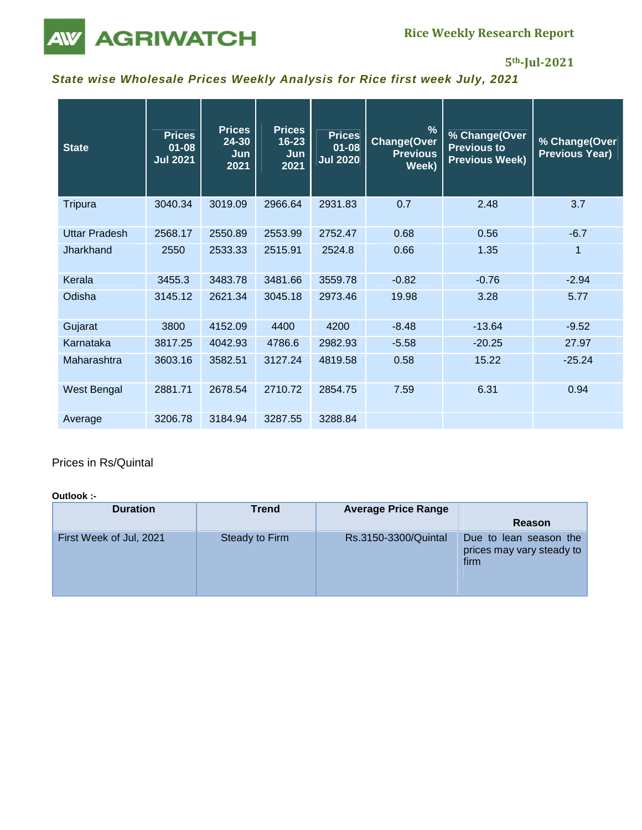**AGRIWATCH** 

**Rice Weekly Research Report** 

**5th-Jul-2021** 

## **State wise Wholesale Prices Weekly Analysis for Rice first week July, 2021**

| <b>State</b>         | <b>Prices</b><br>$01 - 08$<br><b>Jul 2021</b> | <b>Prices</b><br>24-30<br>Jun<br>2021 | <b>Prices</b><br>$16 - 23$<br>Jun<br>2021 | <b>Prices</b><br>$01 - 08$<br><b>Jul 2020</b> | $\frac{9}{6}$<br><b>Change(Over</b><br><b>Previous</b><br>Week) | % Change(Over<br><b>Previous to</b><br><b>Previous Week)</b> | % Change(Over<br><b>Previous Year)</b> |
|----------------------|-----------------------------------------------|---------------------------------------|-------------------------------------------|-----------------------------------------------|-----------------------------------------------------------------|--------------------------------------------------------------|----------------------------------------|
| <b>Tripura</b>       | 3040.34                                       | 3019.09                               | 2966.64                                   | 2931.83                                       | 0.7                                                             | 2.48                                                         | 3.7                                    |
| <b>Uttar Pradesh</b> | 2568.17                                       | 2550.89                               | 2553.99                                   | 2752.47                                       | 0.68                                                            | 0.56                                                         | $-6.7$                                 |
| Jharkhand            | 2550                                          | 2533.33                               | 2515.91                                   | 2524.8                                        | 0.66                                                            | 1.35                                                         | 1                                      |
| Kerala               | 3455.3                                        | 3483.78                               | 3481.66                                   | 3559.78                                       | $-0.82$                                                         | $-0.76$                                                      | $-2.94$                                |
| Odisha               | 3145.12                                       | 2621.34                               | 3045.18                                   | 2973.46                                       | 19.98                                                           | 3.28                                                         | 5.77                                   |
| Gujarat              | 3800                                          | 4152.09                               | 4400                                      | 4200                                          | $-8.48$                                                         | $-13.64$                                                     | $-9.52$                                |
| Karnataka            | 3817.25                                       | 4042.93                               | 4786.6                                    | 2982.93                                       | $-5.58$                                                         | $-20.25$                                                     | 27.97                                  |
| Maharashtra          | 3603.16                                       | 3582.51                               | 3127.24                                   | 4819.58                                       | 0.58                                                            | 15.22                                                        | $-25.24$                               |
| <b>West Bengal</b>   | 2881.71                                       | 2678.54                               | 2710.72                                   | 2854.75                                       | 7.59                                                            | 6.31                                                         | 0.94                                   |
| Average              | 3206.78                                       | 3184.94                               | 3287.55                                   | 3288.84                                       |                                                                 |                                                              |                                        |

## Prices in Rs/Quintal

#### **Outlook :-**

| <b>Duration</b>         | <b>Trend</b>   | <b>Average Price Range</b> | Reason                                                      |
|-------------------------|----------------|----------------------------|-------------------------------------------------------------|
| First Week of Jul, 2021 | Steady to Firm | Rs.3150-3300/Quintal       | Due to lean season the<br>prices may vary steady to<br>firm |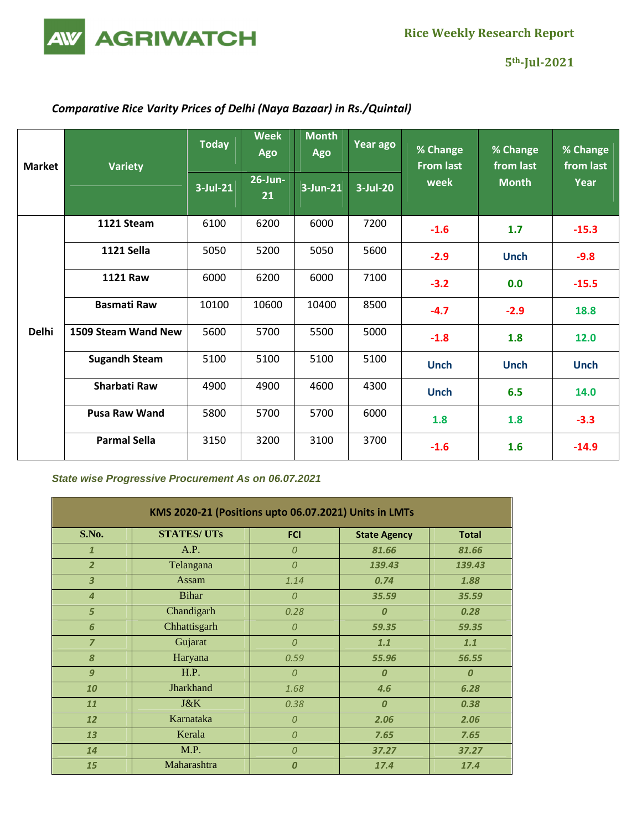

**5th-Jul-2021** 

# *Comparative Rice Varity Prices of Delhi (Naya Bazaar) in Rs./Quintal)*

| <b>Market</b> | <b>Variety</b>       | <b>Today</b> | <b>Week</b><br>Ago | <b>Month</b><br>Ago | Year ago    | % Change<br><b>From last</b> | % Change<br>from last | % Change<br>from last<br>Year |
|---------------|----------------------|--------------|--------------------|---------------------|-------------|------------------------------|-----------------------|-------------------------------|
|               |                      | $3$ -Jul-21  | $26$ -Jun-<br>21   | $3$ -Jun-21         | $3$ -Jul-20 | week                         | <b>Month</b>          |                               |
|               | 1121 Steam           | 6100         | 6200               | 6000                | 7200        | $-1.6$                       | 1.7                   | $-15.3$                       |
|               | <b>1121 Sella</b>    | 5050         | 5200               | 5050                | 5600        | $-2.9$                       | <b>Unch</b>           | $-9.8$                        |
|               | <b>1121 Raw</b>      | 6000         | 6200               | 6000                | 7100        | $-3.2$                       | 0.0                   | $-15.5$                       |
|               | <b>Basmati Raw</b>   | 10100        | 10600              | 10400               | 8500        | $-4.7$                       | $-2.9$                | 18.8                          |
| <b>Delhi</b>  | 1509 Steam Wand New  | 5600         | 5700               | 5500                | 5000        | $-1.8$                       | 1.8                   | 12.0                          |
|               | <b>Sugandh Steam</b> | 5100         | 5100               | 5100                | 5100        | <b>Unch</b>                  | <b>Unch</b>           | <b>Unch</b>                   |
|               | <b>Sharbati Raw</b>  | 4900         | 4900               | 4600                | 4300        | <b>Unch</b>                  | 6.5                   | 14.0                          |
|               | <b>Pusa Raw Wand</b> | 5800         | 5700               | 5700                | 6000        | 1.8                          | 1.8                   | $-3.3$                        |
|               | <b>Parmal Sella</b>  | 3150         | 3200               | 3100                | 3700        | $-1.6$                       | 1.6                   | $-14.9$                       |

## **State wise Progressive Procurement As on 06.07.2021**

| KMS 2020-21 (Positions upto 06.07.2021) Units in LMTs |                   |                  |                     |                  |  |
|-------------------------------------------------------|-------------------|------------------|---------------------|------------------|--|
| S.No.                                                 | <b>STATES/UTs</b> | <b>FCI</b>       | <b>State Agency</b> | <b>Total</b>     |  |
| $\mathbf{1}$                                          | A.P.              | $\overline{O}$   | 81.66               | 81.66            |  |
| $\overline{2}$                                        | Telangana         | 0                | 139.43              | 139.43           |  |
| $\overline{3}$                                        | Assam             | 1.14             | 0.74                | 1.88             |  |
| $\overline{4}$                                        | <b>Bihar</b>      | $\overline{O}$   | 35.59               | 35.59            |  |
| $5\overline{5}$                                       | Chandigarh        | 0.28             | $\boldsymbol{0}$    | 0.28             |  |
| 6                                                     | Chhattisgarh      | $\overline{O}$   | 59.35               | 59.35            |  |
| $\overline{z}$                                        | Gujarat           | $\overline{O}$   | 1.1                 | 1.1              |  |
| 8                                                     | Haryana           | 0.59             | 55.96               | 56.55            |  |
| 9                                                     | H.P.              | $\overline{O}$   | $\boldsymbol{o}$    | $\boldsymbol{0}$ |  |
| 10                                                    | Jharkhand         | 1.68             | 4.6                 | 6.28             |  |
| 11                                                    | J&K               | 0.38             | $\boldsymbol{0}$    | 0.38             |  |
| 12                                                    | Karnataka         | $\overline{O}$   | 2.06                | 2.06             |  |
| 13                                                    | Kerala            | $\overline{0}$   | 7.65                | 7.65             |  |
| 14                                                    | M.P.              | $\overline{O}$   | 37.27               | 37.27            |  |
| 15                                                    | Maharashtra       | $\boldsymbol{0}$ | 17.4                | 17.4             |  |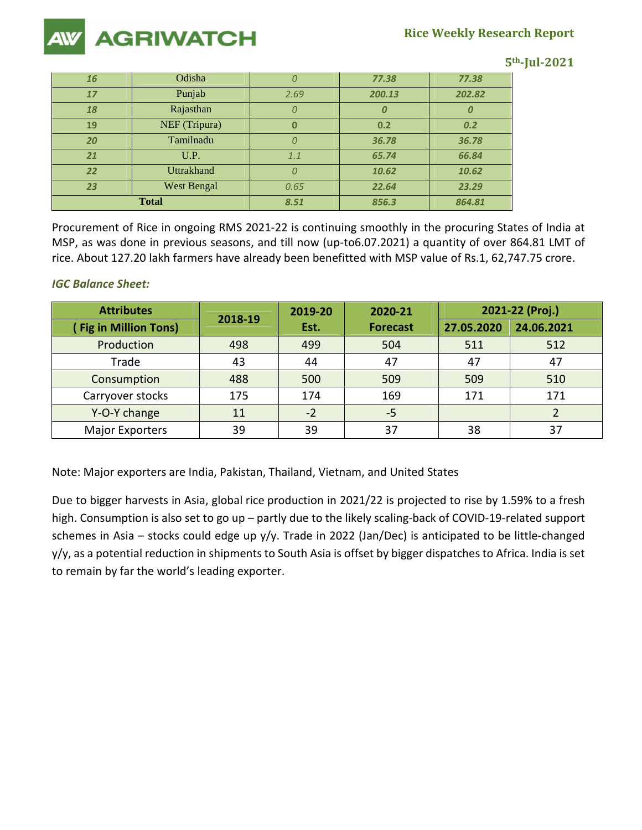

# **Rice Weekly Research Report**

#### **5th-Jul-2021**

| 16           | Odisha             |      | 77.38  | 77.38  |
|--------------|--------------------|------|--------|--------|
| 17           | Punjab             | 2.69 | 200.13 | 202.82 |
| 18           | Rajasthan          |      | Ω      | Ω      |
| 19           | NEF (Tripura)      |      | 0.2    | 0.2    |
| 20           | Tamilnadu          |      | 36.78  | 36.78  |
| 21           | U.P.               | 1.1  | 65.74  | 66.84  |
| 22           | Uttrakhand         |      | 10.62  | 10.62  |
| 23           | <b>West Bengal</b> | 0.65 | 22.64  | 23.29  |
| <b>Total</b> |                    | 8.51 | 856.3  | 864.81 |

Procurement of Rice in ongoing RMS 2021-22 is continuing smoothly in the procuring States of India at MSP, as was done in previous seasons, and till now (up-to6.07.2021) a quantity of over 864.81 LMT of rice. About 127.20 lakh farmers have already been benefitted with MSP value of Rs.1, 62,747.75 crore.

#### *IGC Balance Sheet:*

| <b>Attributes</b>           | 2018-19 | 2019-20 | 2020-21         | 2021-22 (Proj.) |            |  |
|-----------------------------|---------|---------|-----------------|-----------------|------------|--|
| <b>Fig in Million Tons)</b> |         | Est.    | <b>Forecast</b> | 27.05.2020      | 24.06.2021 |  |
| Production                  | 498     | 499     | 504             | 511             | 512        |  |
| Trade                       | 43      | 44      | 47              | 47              | 47         |  |
| Consumption                 | 488     | 500     | 509             | 509             | 510        |  |
| Carryover stocks            | 175     | 174     | 169             | 171             | 171        |  |
| Y-O-Y change                | 11      | $-2$    | -5              |                 |            |  |
| <b>Major Exporters</b>      | 39      | 39      | 37              | 38              | 37         |  |

Note: Major exporters are India, Pakistan, Thailand, Vietnam, and United States

Due to bigger harvests in Asia, global rice production in 2021/22 is projected to rise by 1.59% to a fresh high. Consumption is also set to go up – partly due to the likely scaling-back of COVID-19-related support schemes in Asia – stocks could edge up y/y. Trade in 2022 (Jan/Dec) is anticipated to be little-changed y/y, as a potential reduction in shipments to South Asia is offset by bigger dispatches to Africa. India is set to remain by far the world's leading exporter.